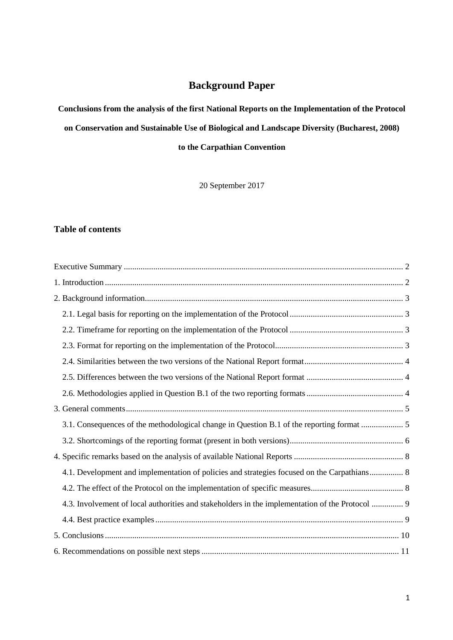# **Background Paper**

**Conclusions from the analysis of the first National Reports on the Implementation of the Protocol** 

**on Conservation and Sustainable Use of Biological and Landscape Diversity (Bucharest, 2008)** 

**to the Carpathian Convention**

20 September 2017

# **Table of contents**

| 3.1. Consequences of the methodological change in Question B.1 of the reporting format  5       |
|-------------------------------------------------------------------------------------------------|
|                                                                                                 |
|                                                                                                 |
| 4.1. Development and implementation of policies and strategies focused on the Carpathians 8     |
|                                                                                                 |
| 4.3. Involvement of local authorities and stakeholders in the implementation of the Protocol  9 |
|                                                                                                 |
|                                                                                                 |
|                                                                                                 |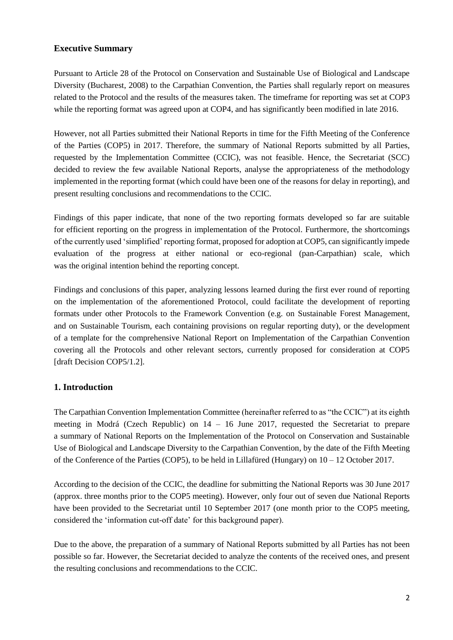# <span id="page-1-0"></span>**Executive Summary**

Pursuant to Article 28 of the Protocol on Conservation and Sustainable Use of Biological and Landscape Diversity (Bucharest, 2008) to the Carpathian Convention, the Parties shall regularly report on measures related to the Protocol and the results of the measures taken. The timeframe for reporting was set at COP3 while the reporting format was agreed upon at COP4, and has significantly been modified in late 2016.

However, not all Parties submitted their National Reports in time for the Fifth Meeting of the Conference of the Parties (COP5) in 2017. Therefore, the summary of National Reports submitted by all Parties, requested by the Implementation Committee (CCIC), was not feasible. Hence, the Secretariat (SCC) decided to review the few available National Reports, analyse the appropriateness of the methodology implemented in the reporting format (which could have been one of the reasons for delay in reporting), and present resulting conclusions and recommendations to the CCIC.

Findings of this paper indicate, that none of the two reporting formats developed so far are suitable for efficient reporting on the progress in implementation of the Protocol. Furthermore, the shortcomings of the currently used 'simplified' reporting format, proposed for adoption at COP5, can significantly impede evaluation of the progress at either national or eco-regional (pan-Carpathian) scale, which was the original intention behind the reporting concept.

Findings and conclusions of this paper, analyzing lessons learned during the first ever round of reporting on the implementation of the aforementioned Protocol, could facilitate the development of reporting formats under other Protocols to the Framework Convention (e.g. on Sustainable Forest Management, and on Sustainable Tourism, each containing provisions on regular reporting duty), or the development of a template for the comprehensive National Report on Implementation of the Carpathian Convention covering all the Protocols and other relevant sectors, currently proposed for consideration at COP5 [draft Decision COP5/1.2].

# <span id="page-1-1"></span>**1. Introduction**

The Carpathian Convention Implementation Committee (hereinafter referred to as "the CCIC") at its eighth meeting in Modrá (Czech Republic) on 14 – 16 June 2017, requested the Secretariat to prepare a summary of National Reports on the Implementation of the Protocol on Conservation and Sustainable Use of Biological and Landscape Diversity to the Carpathian Convention, by the date of the Fifth Meeting of the Conference of the Parties (COP5), to be held in Lillafüred (Hungary) on 10 – 12 October 2017.

According to the decision of the CCIC, the deadline for submitting the National Reports was 30 June 2017 (approx. three months prior to the COP5 meeting). However, only four out of seven due National Reports have been provided to the Secretariat until 10 September 2017 (one month prior to the COP5 meeting, considered the 'information cut-off date' for this background paper).

Due to the above, the preparation of a summary of National Reports submitted by all Parties has not been possible so far. However, the Secretariat decided to analyze the contents of the received ones, and present the resulting conclusions and recommendations to the CCIC.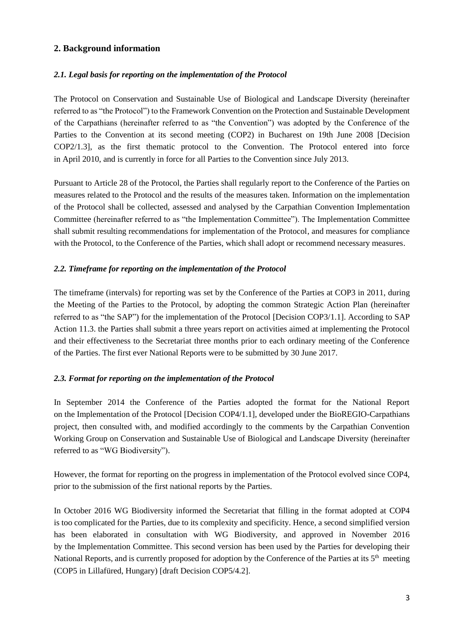# <span id="page-2-0"></span>**2. Background information**

#### <span id="page-2-1"></span>*2.1. Legal basis for reporting on the implementation of the Protocol*

The Protocol on Conservation and Sustainable Use of Biological and Landscape Diversity (hereinafter referred to as "the Protocol") to the Framework Convention on the Protection and Sustainable Development of the Carpathians (hereinafter referred to as "the Convention") was adopted by the Conference of the Parties to the Convention at its second meeting (COP2) in Bucharest on 19th June 2008 [Decision COP2/1.3], as the first thematic protocol to the Convention. The Protocol entered into force in April 2010, and is currently in force for all Parties to the Convention since July 2013.

Pursuant to Article 28 of the Protocol, the Parties shall regularly report to the Conference of the Parties on measures related to the Protocol and the results of the measures taken. Information on the implementation of the Protocol shall be collected, assessed and analysed by the Carpathian Convention Implementation Committee (hereinafter referred to as "the Implementation Committee"). The Implementation Committee shall submit resulting recommendations for implementation of the Protocol, and measures for compliance with the Protocol, to the Conference of the Parties, which shall adopt or recommend necessary measures.

#### <span id="page-2-2"></span>*2.2. Timeframe for reporting on the implementation of the Protocol*

The timeframe (intervals) for reporting was set by the Conference of the Parties at COP3 in 2011, during the Meeting of the Parties to the Protocol, by adopting the common Strategic Action Plan (hereinafter referred to as "the SAP") for the implementation of the Protocol [Decision COP3/1.1]. According to SAP Action 11.3. the Parties shall submit a three years report on activities aimed at implementing the Protocol and their effectiveness to the Secretariat three months prior to each ordinary meeting of the Conference of the Parties. The first ever National Reports were to be submitted by 30 June 2017.

# <span id="page-2-3"></span>*2.3. Format for reporting on the implementation of the Protocol*

In September 2014 the Conference of the Parties adopted the format for the National Report on the Implementation of the Protocol [Decision COP4/1.1], developed under the BioREGIO-Carpathians project, then consulted with, and modified accordingly to the comments by the Carpathian Convention Working Group on Conservation and Sustainable Use of Biological and Landscape Diversity (hereinafter referred to as "WG Biodiversity").

However, the format for reporting on the progress in implementation of the Protocol evolved since COP4, prior to the submission of the first national reports by the Parties.

In October 2016 WG Biodiversity informed the Secretariat that filling in the format adopted at COP4 is too complicated for the Parties, due to its complexity and specificity. Hence, a second simplified version has been elaborated in consultation with WG Biodiversity, and approved in November 2016 by the Implementation Committee. This second version has been used by the Parties for developing their National Reports, and is currently proposed for adoption by the Conference of the Parties at its 5<sup>th</sup> meeting (COP5 in Lillafüred, Hungary) [draft Decision COP5/4.2].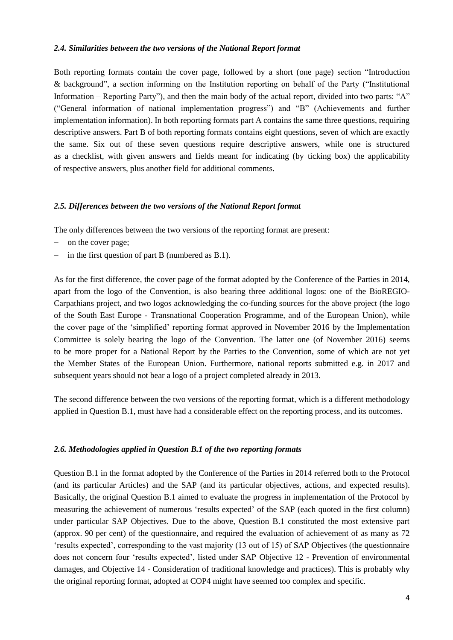#### <span id="page-3-0"></span>*2.4. Similarities between the two versions of the National Report format*

Both reporting formats contain the cover page, followed by a short (one page) section "Introduction & background", a section informing on the Institution reporting on behalf of the Party ("Institutional Information – Reporting Party"), and then the main body of the actual report, divided into two parts: "A" ("General information of national implementation progress") and "B" (Achievements and further implementation information). In both reporting formats part A contains the same three questions, requiring descriptive answers. Part B of both reporting formats contains eight questions, seven of which are exactly the same. Six out of these seven questions require descriptive answers, while one is structured as a checklist, with given answers and fields meant for indicating (by ticking box) the applicability of respective answers, plus another field for additional comments.

#### <span id="page-3-1"></span>*2.5. Differences between the two versions of the National Report format*

The only differences between the two versions of the reporting format are present:

- on the cover page;
- in the first question of part B (numbered as B.1).

As for the first difference, the cover page of the format adopted by the Conference of the Parties in 2014, apart from the logo of the Convention, is also bearing three additional logos: one of the BioREGIO-Carpathians project, and two logos acknowledging the co-funding sources for the above project (the logo of the South East Europe - Transnational Cooperation Programme, and of the European Union), while the cover page of the 'simplified' reporting format approved in November 2016 by the Implementation Committee is solely bearing the logo of the Convention. The latter one (of November 2016) seems to be more proper for a National Report by the Parties to the Convention, some of which are not yet the Member States of the European Union. Furthermore, national reports submitted e.g. in 2017 and subsequent years should not bear a logo of a project completed already in 2013.

The second difference between the two versions of the reporting format, which is a different methodology applied in Question B.1, must have had a considerable effect on the reporting process, and its outcomes.

#### <span id="page-3-2"></span>*2.6. Methodologies applied in Question B.1 of the two reporting formats*

Question B.1 in the format adopted by the Conference of the Parties in 2014 referred both to the Protocol (and its particular Articles) and the SAP (and its particular objectives, actions, and expected results). Basically, the original Question B.1 aimed to evaluate the progress in implementation of the Protocol by measuring the achievement of numerous 'results expected' of the SAP (each quoted in the first column) under particular SAP Objectives. Due to the above, Question B.1 constituted the most extensive part (approx. 90 per cent) of the questionnaire, and required the evaluation of achievement of as many as 72 'results expected', corresponding to the vast majority (13 out of 15) of SAP Objectives (the questionnaire does not concern four 'results expected', listed under SAP Objective 12 - Prevention of environmental damages, and Objective 14 - Consideration of traditional knowledge and practices). This is probably why the original reporting format, adopted at COP4 might have seemed too complex and specific.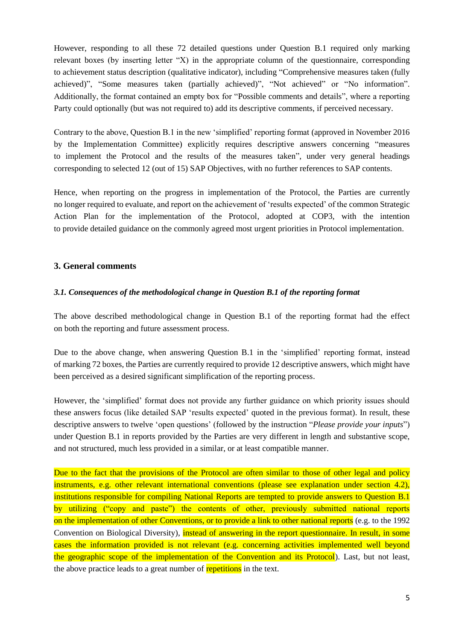However, responding to all these 72 detailed questions under Question B.1 required only marking relevant boxes (by inserting letter "X) in the appropriate column of the questionnaire, corresponding to achievement status description (qualitative indicator), including "Comprehensive measures taken (fully achieved)", "Some measures taken (partially achieved)", "Not achieved" or "No information". Additionally, the format contained an empty box for "Possible comments and details", where a reporting Party could optionally (but was not required to) add its descriptive comments, if perceived necessary.

Contrary to the above, Question B.1 in the new 'simplified' reporting format (approved in November 2016 by the Implementation Committee) explicitly requires descriptive answers concerning "measures to implement the Protocol and the results of the measures taken", under very general headings corresponding to selected 12 (out of 15) SAP Objectives, with no further references to SAP contents.

Hence, when reporting on the progress in implementation of the Protocol, the Parties are currently no longer required to evaluate, and report on the achievement of 'results expected' of the common Strategic Action Plan for the implementation of the Protocol, adopted at COP3, with the intention to provide detailed guidance on the commonly agreed most urgent priorities in Protocol implementation.

# <span id="page-4-0"></span>**3. General comments**

#### <span id="page-4-1"></span>*3.1. Consequences of the methodological change in Question B.1 of the reporting format*

The above described methodological change in Question B.1 of the reporting format had the effect on both the reporting and future assessment process.

Due to the above change, when answering Question B.1 in the 'simplified' reporting format, instead of marking 72 boxes, the Parties are currently required to provide 12 descriptive answers, which might have been perceived as a desired significant simplification of the reporting process.

However, the 'simplified' format does not provide any further guidance on which priority issues should these answers focus (like detailed SAP 'results expected' quoted in the previous format). In result, these descriptive answers to twelve 'open questions' (followed by the instruction "*Please provide your inputs*") under Question B.1 in reports provided by the Parties are very different in length and substantive scope, and not structured, much less provided in a similar, or at least compatible manner.

Due to the fact that the provisions of the Protocol are often similar to those of other legal and policy instruments, e.g. other relevant international conventions (please see explanation under section 4.2), institutions responsible for compiling National Reports are tempted to provide answers to Question B.1 by utilizing ("copy and paste") the contents of other, previously submitted national reports on the implementation of other Conventions, or to provide a link to other national reports (e.g. to the 1992 Convention on Biological Diversity), instead of answering in the report questionnaire. In result, in some cases the information provided is not relevant (e.g. concerning activities implemented well beyond the geographic scope of the implementation of the Convention and its Protocol). Last, but not least, the above practice leads to a great number of repetitions in the text.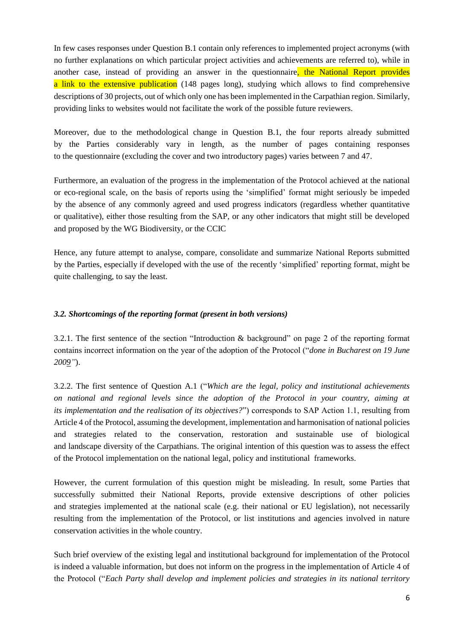In few cases responses under Question B.1 contain only references to implemented project acronyms (with no further explanations on which particular project activities and achievements are referred to), while in another case, instead of providing an answer in the questionnaire, the National Report provides a link to the extensive publication (148 pages long), studying which allows to find comprehensive descriptions of 30 projects, out of which only one has been implemented in the Carpathian region. Similarly, providing links to websites would not facilitate the work of the possible future reviewers.

Moreover, due to the methodological change in Question B.1, the four reports already submitted by the Parties considerably vary in length, as the number of pages containing responses to the questionnaire (excluding the cover and two introductory pages) varies between 7 and 47.

Furthermore, an evaluation of the progress in the implementation of the Protocol achieved at the national or eco-regional scale, on the basis of reports using the 'simplified' format might seriously be impeded by the absence of any commonly agreed and used progress indicators (regardless whether quantitative or qualitative), either those resulting from the SAP, or any other indicators that might still be developed and proposed by the WG Biodiversity, or the CCIC

Hence, any future attempt to analyse, compare, consolidate and summarize National Reports submitted by the Parties, especially if developed with the use of the recently 'simplified' reporting format, might be quite challenging, to say the least.

# <span id="page-5-0"></span>*3.2. Shortcomings of the reporting format (present in both versions)*

3.2.1. The first sentence of the section "Introduction & background" on page 2 of the reporting format contains incorrect information on the year of the adoption of the Protocol ("*done in Bucharest on 19 June 2009"*).

3.2.2. The first sentence of Question A.1 ("*Which are the legal, policy and institutional achievements on national and regional levels since the adoption of the Protocol in your country, aiming at its implementation and the realisation of its objectives?*") corresponds to SAP Action 1.1, resulting from Article 4 of the Protocol, assuming the development, implementation and harmonisation of national policies and strategies related to the conservation, restoration and sustainable use of biological and landscape diversity of the Carpathians. The original intention of this question was to assess the effect of the Protocol implementation on the national legal, policy and institutional frameworks.

However, the current formulation of this question might be misleading. In result, some Parties that successfully submitted their National Reports, provide extensive descriptions of other policies and strategies implemented at the national scale (e.g. their national or EU legislation), not necessarily resulting from the implementation of the Protocol, or list institutions and agencies involved in nature conservation activities in the whole country.

Such brief overview of the existing legal and institutional background for implementation of the Protocol is indeed a valuable information, but does not inform on the progress in the implementation of Article 4 of the Protocol ("*Each Party shall develop and implement policies and strategies in its national territory*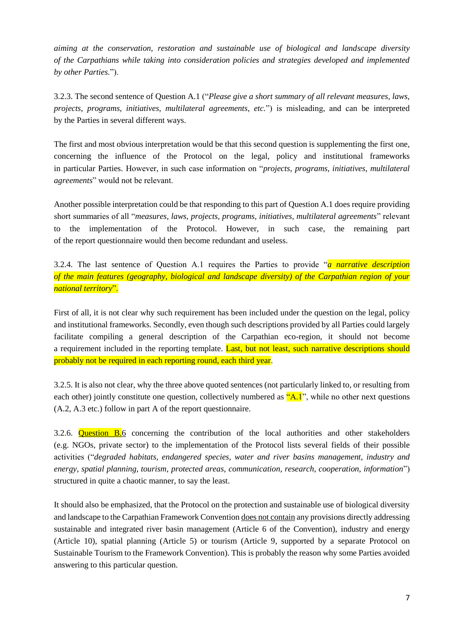*aiming at the conservation, restoration and sustainable use of biological and landscape diversity of the Carpathians while taking into consideration policies and strategies developed and implemented by other Parties.*").

3.2.3. The second sentence of Question A.1 ("*Please give a short summary of all relevant measures, laws, projects, programs, initiatives, multilateral agreements, etc.*") is misleading, and can be interpreted by the Parties in several different ways.

The first and most obvious interpretation would be that this second question is supplementing the first one, concerning the influence of the Protocol on the legal, policy and institutional frameworks in particular Parties. However, in such case information on "*projects, programs, initiatives, multilateral agreements*" would not be relevant.

Another possible interpretation could be that responding to this part of Question A.1 does require providing short summaries of all "*measures, laws, projects, programs, initiatives, multilateral agreements*" relevant to the implementation of the Protocol. However, in such case, the remaining part of the report questionnaire would then become redundant and useless.

3.2.4. The last sentence of Question A.1 requires the Parties to provide "*a narrative description of the main features (geography, biological and landscape diversity) of the Carpathian region of your national territory*".

First of all, it is not clear why such requirement has been included under the question on the legal, policy and institutional frameworks. Secondly, even though such descriptions provided by all Parties could largely facilitate compiling a general description of the Carpathian eco-region, it should not become a requirement included in the reporting template. Last, but not least, such narrative descriptions should probably not be required in each reporting round, each third year.

3.2.5. It is also not clear, why the three above quoted sentences (not particularly linked to, or resulting from each other) jointly constitute one question, collectively numbered as  $"A.1"$ , while no other next questions (A.2, A.3 etc.) follow in part A of the report questionnaire.

3.2.6. **Question B.**6 concerning the contribution of the local authorities and other stakeholders (e.g. NGOs, private sector) to the implementation of the Protocol lists several fields of their possible activities ("*degraded habitats, endangered species, water and river basins management, industry and energy, spatial planning, tourism, protected areas, communication, research, cooperation, information*") structured in quite a chaotic manner, to say the least.

It should also be emphasized, that the Protocol on the protection and sustainable use of biological diversity and landscape to the Carpathian Framework Convention does not contain any provisions directly addressing sustainable and integrated river basin management (Article 6 of the Convention), industry and energy (Article 10), spatial planning (Article 5) or tourism (Article 9, supported by a separate Protocol on Sustainable Tourism to the Framework Convention). This is probably the reason why some Parties avoided answering to this particular question.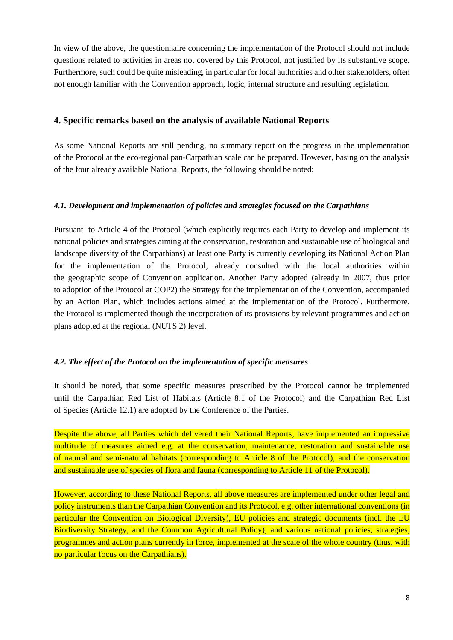In view of the above, the questionnaire concerning the implementation of the Protocol should not include questions related to activities in areas not covered by this Protocol, not justified by its substantive scope. Furthermore, such could be quite misleading, in particular for local authorities and other stakeholders, often not enough familiar with the Convention approach, logic, internal structure and resulting legislation.

# <span id="page-7-0"></span>**4. Specific remarks based on the analysis of available National Reports**

As some National Reports are still pending, no summary report on the progress in the implementation of the Protocol at the eco-regional pan-Carpathian scale can be prepared. However, basing on the analysis of the four already available National Reports, the following should be noted:

# <span id="page-7-1"></span>*4.1. Development and implementation of policies and strategies focused on the Carpathians*

Pursuant to Article 4 of the Protocol (which explicitly requires each Party to develop and implement its national policies and strategies aiming at the conservation, restoration and sustainable use of biological and landscape diversity of the Carpathians) at least one Party is currently developing its National Action Plan for the implementation of the Protocol, already consulted with the local authorities within the geographic scope of Convention application. Another Party adopted (already in 2007, thus prior to adoption of the Protocol at COP2) the Strategy for the implementation of the Convention, accompanied by an Action Plan, which includes actions aimed at the implementation of the Protocol. Furthermore, the Protocol is implemented though the incorporation of its provisions by relevant programmes and action plans adopted at the regional (NUTS 2) level.

# <span id="page-7-2"></span>*4.2. The effect of the Protocol on the implementation of specific measures*

It should be noted, that some specific measures prescribed by the Protocol cannot be implemented until the Carpathian Red List of Habitats (Article 8.1 of the Protocol) and the Carpathian Red List of Species (Article 12.1) are adopted by the Conference of the Parties.

Despite the above, all Parties which delivered their National Reports, have implemented an impressive multitude of measures aimed e.g. at the conservation, maintenance, restoration and sustainable use of natural and semi-natural habitats (corresponding to Article 8 of the Protocol), and the conservation and sustainable use of species of flora and fauna (corresponding to Article 11 of the Protocol).

However, according to these National Reports, all above measures are implemented under other legal and policy instruments than the Carpathian Convention and its Protocol, e.g. other international conventions (in particular the Convention on Biological Diversity), EU policies and strategic documents (incl. the EU Biodiversity Strategy, and the Common Agricultural Policy), and various national policies, strategies, programmes and action plans currently in force, implemented at the scale of the whole country (thus, with no particular focus on the Carpathians).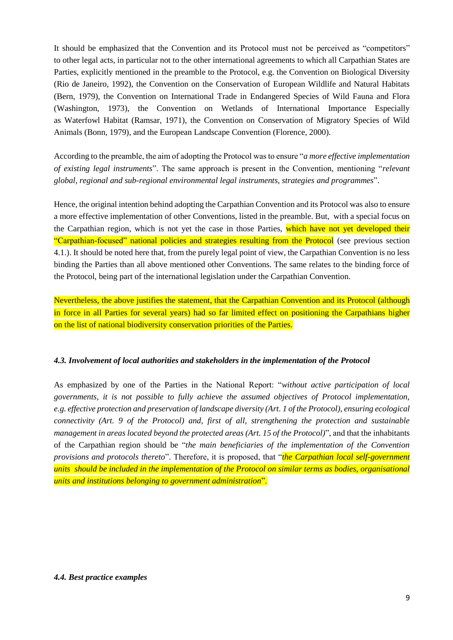It should be emphasized that the Convention and its Protocol must not be perceived as "competitors" to other legal acts, in particular not to the other international agreements to which all Carpathian States are Parties, explicitly mentioned in the preamble to the Protocol, e.g. the Convention on Biological Diversity (Rio de Janeiro, 1992), the Convention on the Conservation of European Wildlife and Natural Habitats (Bern, 1979), the Convention on International Trade in Endangered Species of Wild Fauna and Flora (Washington, 1973), the Convention on Wetlands of International Importance Especially as Waterfowl Habitat (Ramsar, 1971), the Convention on Conservation of Migratory Species of Wild Animals (Bonn, 1979), and the European Landscape Convention (Florence, 2000).

According to the preamble, the aim of adopting the Protocol was to ensure "*a more effective implementation of existing legal instruments*". The same approach is present in the Convention, mentioning "*relevant global, regional and sub-regional environmental legal instruments, strategies and programmes*".

Hence, the original intention behind adopting the Carpathian Convention and its Protocol was also to ensure a more effective implementation of other Conventions, listed in the preamble. But, with a special focus on the Carpathian region, which is not yet the case in those Parties, which have not yet developed their "Carpathian-focused" national policies and strategies resulting from the Protocol (see previous section 4.1.). It should be noted here that, from the purely legal point of view, the Carpathian Convention is no less binding the Parties than all above mentioned other Conventions. The same relates to the binding force of the Protocol, being part of the international legislation under the Carpathian Convention.

Nevertheless, the above justifies the statement, that the Carpathian Convention and its Protocol (although in force in all Parties for several years) had so far limited effect on positioning the Carpathians higher on the list of national biodiversity conservation priorities of the Parties.

# <span id="page-8-0"></span>*4.3. Involvement of local authorities and stakeholders in the implementation of the Protocol*

<span id="page-8-1"></span>As emphasized by one of the Parties in the National Report: "*without active participation of local governments, it is not possible to fully achieve the assumed objectives of Protocol implementation, e.g. effective protection and preservation of landscape diversity (Art. 1 of the Protocol), ensuring ecological connectivity (Art. 9 of the Protocol) and, first of all, strengthening the protection and sustainable management in areas located beyond the protected areas (Art. 15 of the Protocol)*", and that the inhabitants of the Carpathian region should be "*the main beneficiaries of the implementation of the Convention provisions and protocols thereto*". Therefore, it is proposed, that "*the Carpathian local self-government units should be included in the implementation of the Protocol on similar terms as bodies, organisational units and institutions belonging to government administration*".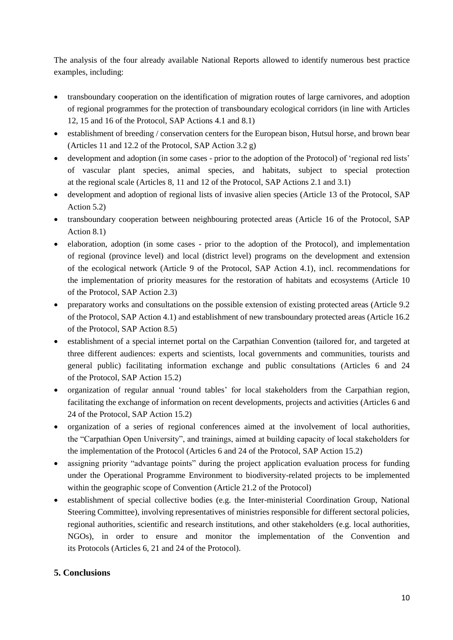The analysis of the four already available National Reports allowed to identify numerous best practice examples, including:

- transboundary cooperation on the identification of migration routes of large carnivores, and adoption of regional programmes for the protection of transboundary ecological corridors (in line with Articles 12, 15 and 16 of the Protocol, SAP Actions 4.1 and 8.1)
- establishment of breeding / conservation centers for the European bison, Hutsul horse, and brown bear (Articles 11 and 12.2 of the Protocol, SAP Action 3.2 g)
- development and adoption (in some cases prior to the adoption of the Protocol) of 'regional red lists' of vascular plant species, animal species, and habitats, subject to special protection at the regional scale (Articles 8, 11 and 12 of the Protocol, SAP Actions 2.1 and 3.1)
- development and adoption of regional lists of invasive alien species (Article 13 of the Protocol, SAP Action 5.2)
- transboundary cooperation between neighbouring protected areas (Article 16 of the Protocol, SAP Action 8.1)
- elaboration, adoption (in some cases prior to the adoption of the Protocol), and implementation of regional (province level) and local (district level) programs on the development and extension of the ecological network (Article 9 of the Protocol, SAP Action 4.1), incl. recommendations for the implementation of priority measures for the restoration of habitats and ecosystems (Article 10 of the Protocol, SAP Action 2.3)
- preparatory works and consultations on the possible extension of existing protected areas (Article 9.2 of the Protocol, SAP Action 4.1) and establishment of new transboundary protected areas (Article 16.2 of the Protocol, SAP Action 8.5)
- establishment of a special internet portal on the Carpathian Convention (tailored for, and targeted at three different audiences: experts and scientists, local governments and communities, tourists and general public) facilitating information exchange and public consultations (Articles 6 and 24 of the Protocol, SAP Action 15.2)
- organization of regular annual 'round tables' for local stakeholders from the Carpathian region, facilitating the exchange of information on recent developments, projects and activities (Articles 6 and 24 of the Protocol, SAP Action 15.2)
- organization of a series of regional conferences aimed at the involvement of local authorities, the "Carpathian Open University", and trainings, aimed at building capacity of local stakeholders for the implementation of the Protocol (Articles 6 and 24 of the Protocol, SAP Action 15.2)
- assigning priority "advantage points" during the project application evaluation process for funding under the Operational Programme Environment to biodiversity-related projects to be implemented within the geographic scope of Convention (Article 21.2 of the Protocol)
- establishment of special collective bodies (e.g. the Inter-ministerial Coordination Group, National Steering Committee), involving representatives of ministries responsible for different sectoral policies, regional authorities, scientific and research institutions, and other stakeholders (e.g. local authorities, NGOs), in order to ensure and monitor the implementation of the Convention and its Protocols (Articles 6, 21 and 24 of the Protocol).

# <span id="page-9-0"></span>**5. Conclusions**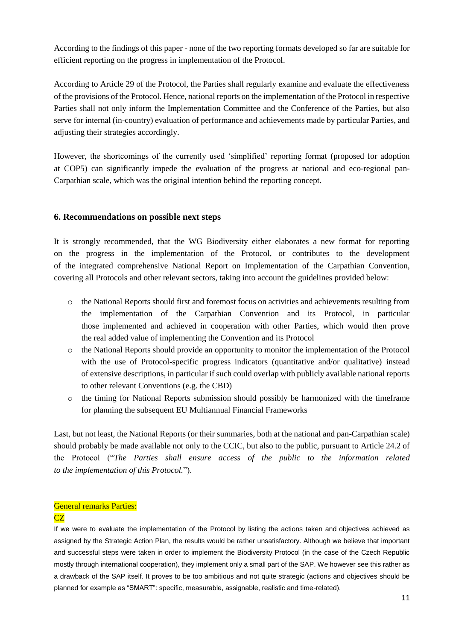According to the findings of this paper - none of the two reporting formats developed so far are suitable for efficient reporting on the progress in implementation of the Protocol.

According to Article 29 of the Protocol, the Parties shall regularly examine and evaluate the effectiveness of the provisions of the Protocol. Hence, national reports on the implementation of the Protocol in respective Parties shall not only inform the Implementation Committee and the Conference of the Parties, but also serve for internal (in-country) evaluation of performance and achievements made by particular Parties, and adjusting their strategies accordingly.

However, the shortcomings of the currently used 'simplified' reporting format (proposed for adoption at COP5) can significantly impede the evaluation of the progress at national and eco-regional pan-Carpathian scale, which was the original intention behind the reporting concept.

#### <span id="page-10-0"></span>**6. Recommendations on possible next steps**

It is strongly recommended, that the WG Biodiversity either elaborates a new format for reporting on the progress in the implementation of the Protocol, or contributes to the development of the integrated comprehensive National Report on Implementation of the Carpathian Convention, covering all Protocols and other relevant sectors, taking into account the guidelines provided below:

- o the National Reports should first and foremost focus on activities and achievements resulting from the implementation of the Carpathian Convention and its Protocol, in particular those implemented and achieved in cooperation with other Parties, which would then prove the real added value of implementing the Convention and its Protocol
- o the National Reports should provide an opportunity to monitor the implementation of the Protocol with the use of Protocol-specific progress indicators (quantitative and/or qualitative) instead of extensive descriptions, in particular if such could overlap with publicly available national reports to other relevant Conventions (e.g. the CBD)
- $\circ$  the timing for National Reports submission should possibly be harmonized with the timeframe for planning the subsequent EU Multiannual Financial Frameworks

Last, but not least, the National Reports (or their summaries, both at the national and pan-Carpathian scale) should probably be made available not only to the CCIC, but also to the public, pursuant to Article 24.2 of the Protocol ("*The Parties shall ensure access of the public to the information related to the implementation of this Protocol.*").

# General remarks Parties:

# CZ

If we were to evaluate the implementation of the Protocol by listing the actions taken and objectives achieved as assigned by the Strategic Action Plan, the results would be rather unsatisfactory. Although we believe that important and successful steps were taken in order to implement the Biodiversity Protocol (in the case of the Czech Republic mostly through international cooperation), they implement only a small part of the SAP. We however see this rather as a drawback of the SAP itself. It proves to be too ambitious and not quite strategic (actions and objectives should be planned for example as "SMART": specific, measurable, assignable, realistic and time-related).